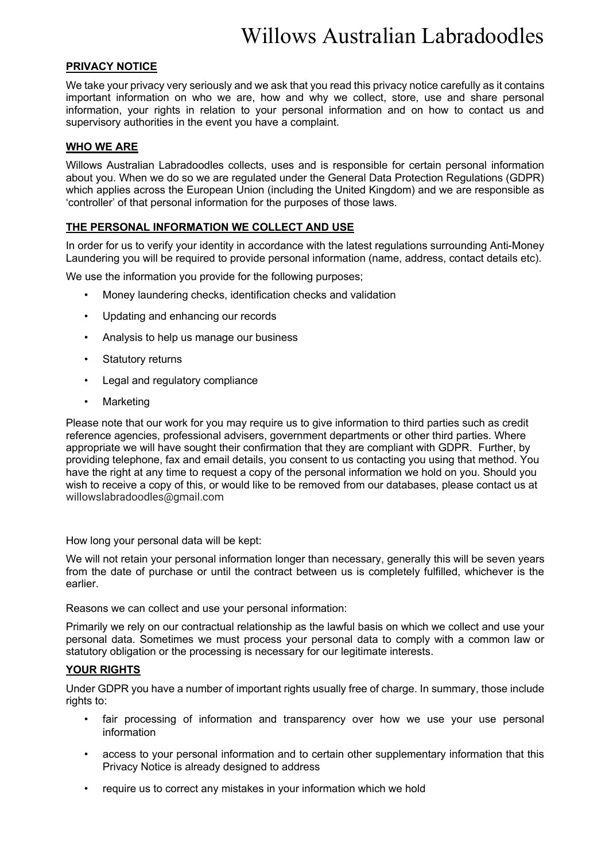# **PRIVACY NOTICE**

We take your privacy very seriously and we ask that you read this privacy notice carefully as it contains important information on who we are, how and why we collect, store, use and share personal information, your rights in relation to your personal information and on how to contact us and supervisory authorities in the event you have a complaint.

## **WHO WE ARE**

Willows Australian Labradoodles collects, uses and is responsible for certain personal information about you. When we do so we are regulated under the General Data Protection Regulations (GDPR) which applies across the European Union (including the United Kingdom) and we are responsible as 'controller' of that personal information for the purposes of those laws.

### **THE PERSONAL INFORMATION WE COLLECT AND USE**

In order for us to verify your identity in accordance with the latest regulations surrounding Anti-Money Laundering you will be required to provide personal information (name, address, contact details etc).

We use the information you provide for the following purposes:

- Money laundering checks, identification checks and validation
- Updating and enhancing our records
- Analysis to help us manage our business
- Statutory returns
- Legal and regulatory compliance
- **Marketing**

Please note that our work for you may require us to give information to third parties such as credit reference agencies, professional advisers, government departments or other third parties. Where appropriate we will have sought their confirmation that they are compliant with GDPR. Further, by providing telephone, fax and email details, you consent to us contacting you using that method. You have the right at any time to request a copy of the personal information we hold on you. Should you wish to receive a copy of this, or would like to be removed from our databases, please contact us at willowslabradoodles@gmail.com

How long your personal data will be kept:

We will not retain your personal information longer than necessary, generally this will be seven years from the date of purchase or until the contract between us is completely fulfilled, whichever is the earlier.

Reasons we can collect and use your personal information:

Primarily we rely on our contractual relationship as the lawful basis on which we collect and use your personal data. Sometimes we must process your personal data to comply with a common law or statutory obligation or the processing is necessary for our legitimate interests.

### **YOUR RIGHTS**

Under GDPR you have a number of important rights usually free of charge. In summary, those include rights to:

- fair processing of information and transparency over how we use your use personal information
- access to your personal information and to certain other supplementary information that this Privacy Notice is already designed to address
- require us to correct any mistakes in your information which we hold